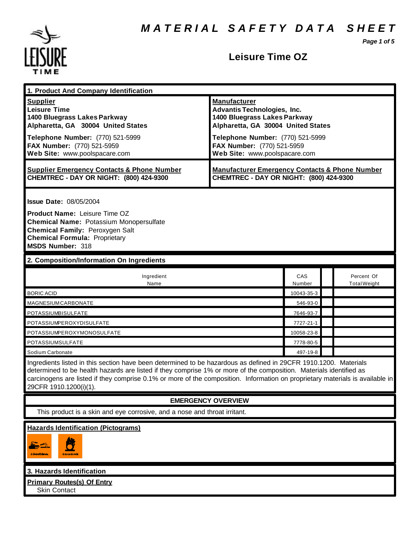*M A T E R I A L S A F E T Y D A T A S H E E T*

*Page 1 of 5*



# **Leisure Time OZ**

| 1. Product And Company Identification                                                                                                                                                                                                                                                                                                                                                             |                                                                                                                                                                                                                                    |               |  |                                   |
|---------------------------------------------------------------------------------------------------------------------------------------------------------------------------------------------------------------------------------------------------------------------------------------------------------------------------------------------------------------------------------------------------|------------------------------------------------------------------------------------------------------------------------------------------------------------------------------------------------------------------------------------|---------------|--|-----------------------------------|
| <b>Supplier</b><br><b>Leisure Time</b><br>1400 Bluegrass Lakes Parkway<br>Alpharetta, GA 30004 United States<br>Telephone Number: (770) 521-5999<br>FAX Number: (770) 521-5959<br>Web Site: www.poolspacare.com                                                                                                                                                                                   | <b>Manufacturer</b><br><b>Advantis Technologies, Inc.</b><br>1400 Bluegrass Lakes Parkway<br>Alpharetta, GA 30004 United States<br>Telephone Number: (770) 521-5999<br>FAX Number: (770) 521-5959<br>Web Site: www.poolspacare.com |               |  |                                   |
| <b>Supplier Emergency Contacts &amp; Phone Number</b><br>CHEMTREC - DAY OR NIGHT: (800) 424-9300                                                                                                                                                                                                                                                                                                  | <b>Manufacturer Emergency Contacts &amp; Phone Number</b><br>CHEMTREC - DAY OR NIGHT: (800) 424-9300                                                                                                                               |               |  |                                   |
| <b>Issue Date: 08/05/2004</b><br>Product Name: Leisure Time OZ<br><b>Chemical Name: Potassium Monopersulfate</b><br>Chemical Family: Peroxygen Salt<br><b>Chemical Formula: Proprietary</b><br><b>MSDS Number: 318</b>                                                                                                                                                                            |                                                                                                                                                                                                                                    |               |  |                                   |
| 2. Composition/Information On Ingredients                                                                                                                                                                                                                                                                                                                                                         |                                                                                                                                                                                                                                    |               |  |                                   |
| Ingredient<br>Name                                                                                                                                                                                                                                                                                                                                                                                |                                                                                                                                                                                                                                    | CAS<br>Number |  | Percent Of<br><b>Total Weight</b> |
| <b>BORIC ACID</b>                                                                                                                                                                                                                                                                                                                                                                                 |                                                                                                                                                                                                                                    | 10043-35-3    |  |                                   |
| MAGNESIUMCARBONATE                                                                                                                                                                                                                                                                                                                                                                                |                                                                                                                                                                                                                                    | 546-93-0      |  |                                   |
| POTASSIUMBISULFATE                                                                                                                                                                                                                                                                                                                                                                                |                                                                                                                                                                                                                                    | 7646-93-7     |  |                                   |
| POTASSIUMPEROXYDISULFATE                                                                                                                                                                                                                                                                                                                                                                          |                                                                                                                                                                                                                                    | 7727-21-1     |  |                                   |
| POTASSIUMPEROXYMONOSULFATE                                                                                                                                                                                                                                                                                                                                                                        |                                                                                                                                                                                                                                    | 10058-23-8    |  |                                   |
| POTASSIUMSULFATE                                                                                                                                                                                                                                                                                                                                                                                  |                                                                                                                                                                                                                                    | 7778-80-5     |  |                                   |
| Sodium Carbonate                                                                                                                                                                                                                                                                                                                                                                                  |                                                                                                                                                                                                                                    | 497-19-8      |  |                                   |
| Ingredients listed in this section have been determined to be hazardous as defined in 29CFR 1910.1200. Materials<br>determined to be health hazards are listed if they comprise 1% or more of the composition. Materials identified as<br>carcinogens are listed if they comprise 0.1% or more of the composition. Information on proprietary materials is available in<br>29CFR 1910.1200(i)(1). |                                                                                                                                                                                                                                    |               |  |                                   |
| <b>EMERGENCY OVERVIEW</b>                                                                                                                                                                                                                                                                                                                                                                         |                                                                                                                                                                                                                                    |               |  |                                   |
| This product is a skin and eye corrosive, and a nose and throat irritant.                                                                                                                                                                                                                                                                                                                         |                                                                                                                                                                                                                                    |               |  |                                   |
| <b>Hazards Identification (Pictograms)</b><br><b>CONNECTIONS</b><br><u>oximento</u>                                                                                                                                                                                                                                                                                                               |                                                                                                                                                                                                                                    |               |  |                                   |
| 3. Hazards Identification                                                                                                                                                                                                                                                                                                                                                                         |                                                                                                                                                                                                                                    |               |  |                                   |
| <b>Primary Routes(s) Of Entry</b>                                                                                                                                                                                                                                                                                                                                                                 |                                                                                                                                                                                                                                    |               |  |                                   |
| <b>Skin Contact</b>                                                                                                                                                                                                                                                                                                                                                                               |                                                                                                                                                                                                                                    |               |  |                                   |
|                                                                                                                                                                                                                                                                                                                                                                                                   |                                                                                                                                                                                                                                    |               |  |                                   |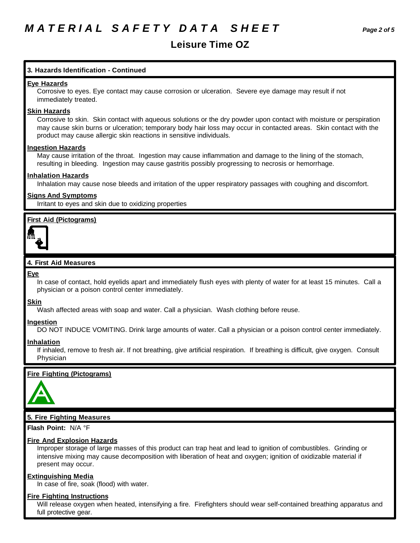## **Leisure Time OZ**

## **3. Hazards Identification - Continued**

## **Eye Hazards**

Corrosive to eyes. Eye contact may cause corrosion or ulceration. Severe eye damage may result if not immediately treated.

#### **Skin Hazards**

Corrosive to skin. Skin contact with aqueous solutions or the dry powder upon contact with moisture or perspiration may cause skin burns or ulceration; temporary body hair loss may occur in contacted areas. Skin contact with the product may cause allergic skin reactions in sensitive individuals.

#### **Ingestion Hazards**

May cause irritation of the throat. Ingestion may cause inflammation and damage to the lining of the stomach, resulting in bleeding. Ingestion may cause gastritis possibly progressing to necrosis or hemorrhage.

#### **Inhalation Hazards**

Inhalation may cause nose bleeds and irritation of the upper respiratory passages with coughing and discomfort.

## **Signs And Symptoms**

Irritant to eyes and skin due to oxidizing properties

## **First Aid (Pictograms)**



## **4. First Aid Measures**

#### **Eye**

In case of contact, hold eyelids apart and immediately flush eyes with plenty of water for at least 15 minutes. Call a physician or a poison control center immediately.

## **Skin**

Wash affected areas with soap and water. Call a physician. Wash clothing before reuse.

## **Ingestion**

DO NOT INDUCE VOMITING. Drink large amounts of water. Call a physician or a poison control center immediately.

## **Inhalation**

If inhaled, remove to fresh air. If not breathing, give artificial respiration. If breathing is difficult, give oxygen. Consult Physician

## **Fire Fighting (Pictograms)**



## **5. Fire Fighting Measures**

**Flash Point:** N/A °F

## **Fire And Explosion Hazards**

Improper storage of large masses of this product can trap heat and lead to ignition of combustibles. Grinding or intensive mixing may cause decomposition with liberation of heat and oxygen; ignition of oxidizable material if present may occur.

## **Extinguishing Media**

In case of fire, soak (flood) with water.

## **Fire Fighting Instructions**

Will release oxygen when heated, intensifying a fire. Firefighters should wear self-contained breathing apparatus and full protective gear.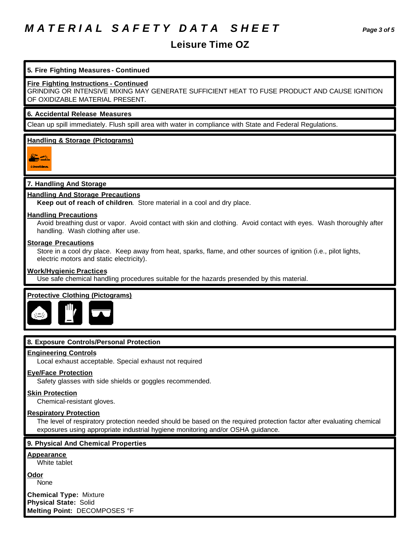# *M A T E R I A L S A F E T Y D A T A S H E E T Page 3 of 5*

## **Leisure Time OZ**

## **5. Fire Fighting Measures - Continued**

**Fire Fighting Instructions - Continued**

GRINDING OR INTENSIVE MIXING MAY GENERATE SUFFICIENT HEAT TO FUSE PRODUCT AND CAUSE IGNITION OF OXIDIZABLE MATERIAL PRESENT.

## **6. Accidental Release Measures**

Clean up spill immediately. Flush spill area with water in compliance with State and Federal Regulations.

## **Handling & Storage (Pictograms)**

## **7. Handling And Storage**

## **Handling And Storage Precautions**

**Keep out of reach of children**. Store material in a cool and dry place.

#### **Handling Precautions**

Avoid breathing dust or vapor. Avoid contact with skin and clothing. Avoid contact with eyes. Wash thoroughly after handling. Wash clothing after use.

## **Storage Precautions**

Store in a cool dry place. Keep away from heat, sparks, flame, and other sources of ignition (i.e., pilot lights, electric motors and static electricity).

#### **Work/Hygienic Practices**

Use safe chemical handling procedures suitable for the hazards presended by this material.

#### **Protective Clothing (Pictograms)**



#### **8. Exposure Controls/Personal Protection**

#### **Engineering Controls**

Local exhaust acceptable. Special exhaust not required

## **Eye/Face Protection**

Safety glasses with side shields or goggles recommended.

## **Skin Protection**

Chemical-resistant gloves.

#### **Respiratory Protection**

The level of respiratory protection needed should be based on the required protection factor after evaluating chemical exposures using appropriate industrial hygiene monitoring and/or OSHA guidance.

#### **9. Physical And Chemical Properties**

## **Appearance**

White tablet

**Odor** None

**Chemical Type:** Mixture **Physical State:** Solid **Melting Point:** DECOMPOSES °F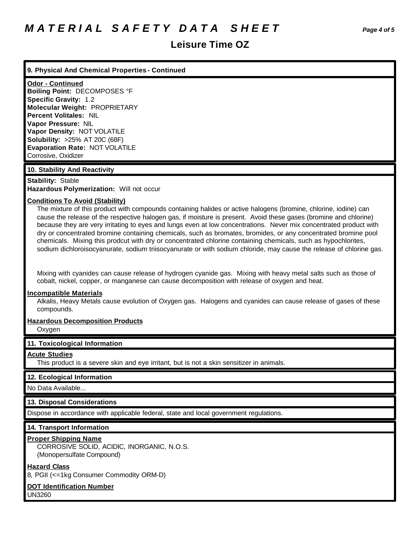## **Leisure Time OZ**

## **9. Physical And Chemical Properties - Continued**

**Odor - Continued Boiling Point:** DECOMPOSES °F **Specific Gravity:** 1.2 **Molecular Weight:** PROPRIETARY **Percent Volitales:** NIL **Vapor Pressure:** NIL **Vapor Density:** NOT VOLATILE **Solubility:** >25% AT 20C (68F) **Evaporation Rate:** NOT VOLATILE Corrosive, Oxidizer

## **10. Stability And Reactivity**

## **Stability:** Stable

**Hazardous Polymerization:** Will not occur

## **Conditions To Avoid (Stability)**

The mixture of this product with compounds containing halides or active halogens (bromine, chlorine, iodine) can cause the release of the respective halogen gas, if moisture is present. Avoid these gases (bromine and chlorine) because they are very irritating to eyes and lungs even at low concentrations. Never mix concentrated product with dry or concentrated bromine containing chemicals, such as bromates, bromides, or any concentrated bromine pool chemicals. Mixing this prodcut with dry or concentrated chlorine containing chemicals, such as hypochlorites, sodium dichloroisocyanurate, sodium triisocyanurate or with sodium chloride, may cause the release of chlorine gas.

Mixing with cyanides can cause release of hydrogen cyanide gas. Mixing with heavy metal salts such as those of cobalt, nickel, copper, or manganese can cause decomposition with release of oxygen and heat.

## **Incompatible Materials**

Alkalis, Heavy Metals cause evolution of Oxygen gas. Halogens and cyanides can cause release of gases of these compounds.

## **Hazardous Decomposition Products**

Oxygen

## **11. Toxicological Information**

## **Acute Studies**

This product is a severe skin and eye irritant, but is not a skin sensitizer in animals.

## **12. Ecological Information**

No Data Available...

## **13. Disposal Considerations**

Dispose in accordance with applicable federal, state and local government regulations.

## **14. Transport Information**

## **Proper Shipping Name**

CORROSIVE SOLID, ACIDIC, INORGANIC, N.O.S. (Monopersulfate Compound)

## **Hazard Class**

8, PGII (<=1kg Consumer Commodity ORM-D)

## **DOT Identification Number**

UN3260